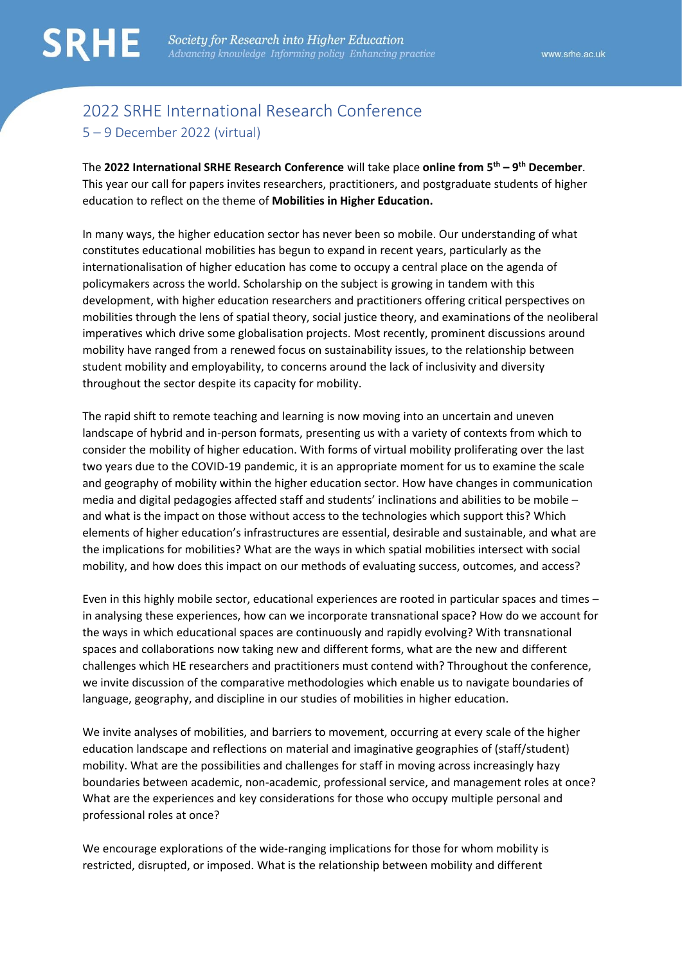# 2022 SRHE International Research Conference 5 – 9 December 2022 (virtual)

The **2022 International SRHE Research Conference** will take place **online from 5th – 9 th December**. This year our call for papers invites researchers, practitioners, and postgraduate students of higher education to reflect on the theme of **Mobilities in Higher Education.** 

In many ways, the higher education sector has never been so mobile. Our understanding of what constitutes educational mobilities has begun to expand in recent years, particularly as the internationalisation of higher education has come to occupy a central place on the agenda of policymakers across the world. Scholarship on the subject is growing in tandem with this development, with higher education researchers and practitioners offering critical perspectives on mobilities through the lens of spatial theory, social justice theory, and examinations of the neoliberal imperatives which drive some globalisation projects. Most recently, prominent discussions around mobility have ranged from a renewed focus on sustainability issues, to the relationship between student mobility and employability, to concerns around the lack of inclusivity and diversity throughout the sector despite its capacity for mobility.

The rapid shift to remote teaching and learning is now moving into an uncertain and uneven landscape of hybrid and in-person formats, presenting us with a variety of contexts from which to consider the mobility of higher education. With forms of virtual mobility proliferating over the last two years due to the COVID-19 pandemic, it is an appropriate moment for us to examine the scale and geography of mobility within the higher education sector. How have changes in communication media and digital pedagogies affected staff and students' inclinations and abilities to be mobile – and what is the impact on those without access to the technologies which support this? Which elements of higher education's infrastructures are essential, desirable and sustainable, and what are the implications for mobilities? What are the ways in which spatial mobilities intersect with social mobility, and how does this impact on our methods of evaluating success, outcomes, and access?

Even in this highly mobile sector, educational experiences are rooted in particular spaces and times – in analysing these experiences, how can we incorporate transnational space? How do we account for the ways in which educational spaces are continuously and rapidly evolving? With transnational spaces and collaborations now taking new and different forms, what are the new and different challenges which HE researchers and practitioners must contend with? Throughout the conference, we invite discussion of the comparative methodologies which enable us to navigate boundaries of language, geography, and discipline in our studies of mobilities in higher education.

We invite analyses of mobilities, and barriers to movement, occurring at every scale of the higher education landscape and reflections on material and imaginative geographies of (staff/student) mobility. What are the possibilities and challenges for staff in moving across increasingly hazy boundaries between academic, non-academic, professional service, and management roles at once? What are the experiences and key considerations for those who occupy multiple personal and professional roles at once?

We encourage explorations of the wide-ranging implications for those for whom mobility is restricted, disrupted, or imposed. What is the relationship between mobility and different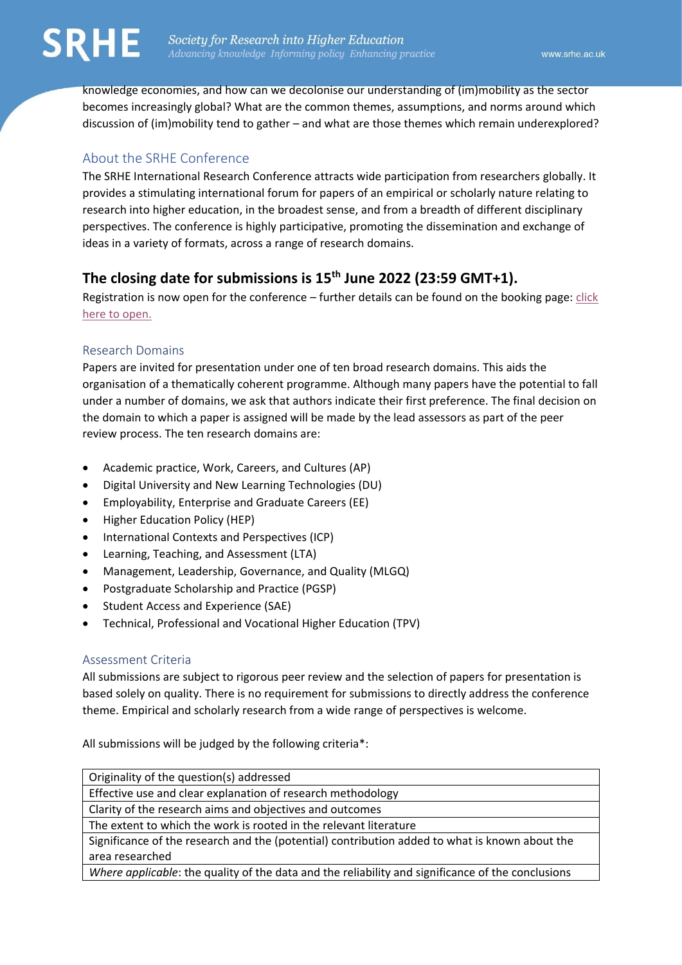knowledge economies, and how can we decolonise our understanding of (im)mobility as the sector becomes increasingly global? What are the common themes, assumptions, and norms around which discussion of (im)mobility tend to gather – and what are those themes which remain underexplored?

# About the SRHE Conference

The SRHE International Research Conference attracts wide participation from researchers globally. It provides a stimulating international forum for papers of an empirical or scholarly nature relating to research into higher education, in the broadest sense, and from a breadth of different disciplinary perspectives. The conference is highly participative, promoting the dissemination and exchange of ideas in a variety of formats, across a range of research domains.

# **The closing date for submissions is 15th June 2022 (23:59 GMT+1).**

Registration is now open for the conference – further details can be found on the booking page: [click](https://srhe.ac.uk/civicrm/?civiwp=CiviCRM&q=civicrm%2Fevent%2Finfo&reset=1&id=598)  [here to open.](https://srhe.ac.uk/civicrm/?civiwp=CiviCRM&q=civicrm%2Fevent%2Finfo&reset=1&id=598)

## Research Domains

Papers are invited for presentation under one of ten broad research domains. This aids the organisation of a thematically coherent programme. Although many papers have the potential to fall under a number of domains, we ask that authors indicate their first preference. The final decision on the domain to which a paper is assigned will be made by the lead assessors as part of the peer review process. The ten research domains are:

- Academic practice, Work, Careers, and Cultures (AP)
- Digital University and New Learning Technologies (DU)
- Employability, Enterprise and Graduate Careers (EE)
- Higher Education Policy (HEP)
- International Contexts and Perspectives (ICP)
- Learning, Teaching, and Assessment (LTA)
- Management, Leadership, Governance, and Quality (MLGQ)
- Postgraduate Scholarship and Practice (PGSP)
- Student Access and Experience (SAE)
- Technical, Professional and Vocational Higher Education (TPV)

## Assessment Criteria

All submissions are subject to rigorous peer review and the selection of papers for presentation is based solely on quality. There is no requirement for submissions to directly address the conference theme. Empirical and scholarly research from a wide range of perspectives is welcome.

All submissions will be judged by the following criteria\*:

| Originality of the question(s) addressed                                                          |
|---------------------------------------------------------------------------------------------------|
| Effective use and clear explanation of research methodology                                       |
| Clarity of the research aims and objectives and outcomes                                          |
| The extent to which the work is rooted in the relevant literature                                 |
| Significance of the research and the (potential) contribution added to what is known about the    |
| area researched                                                                                   |
| Where applicable: the quality of the data and the reliability and significance of the conclusions |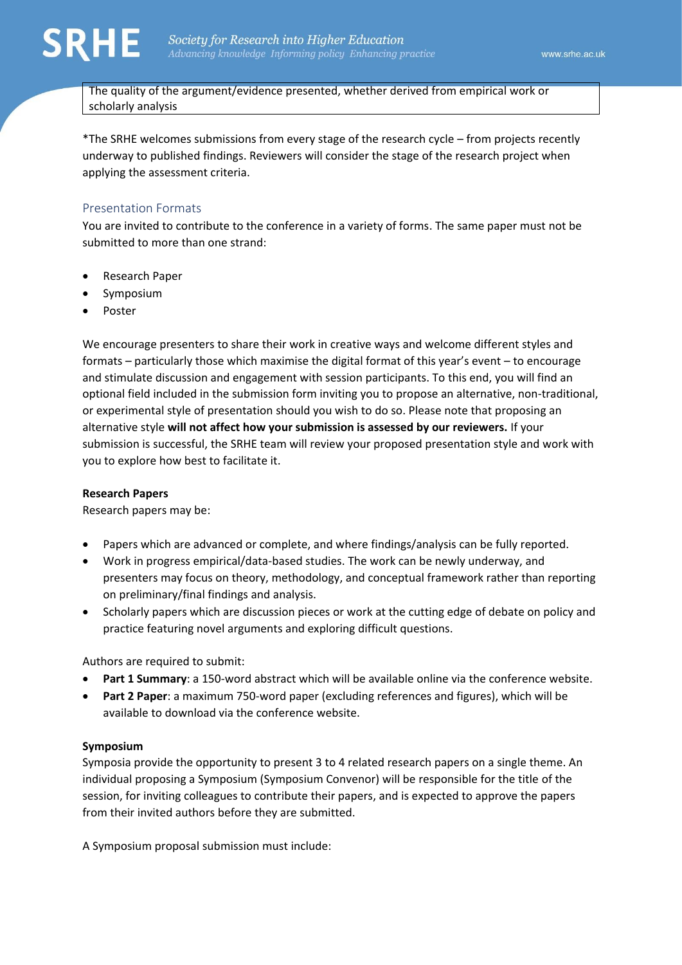

The quality of the argument/evidence presented, whether derived from empirical work or scholarly analysis

\*The SRHE welcomes submissions from every stage of the research cycle – from projects recently underway to published findings. Reviewers will consider the stage of the research project when applying the assessment criteria.

### Presentation Formats

You are invited to contribute to the conference in a variety of forms. The same paper must not be submitted to more than one strand:

- Research Paper
- Symposium
- Poster

We encourage presenters to share their work in creative ways and welcome different styles and formats – particularly those which maximise the digital format of this year's event – to encourage and stimulate discussion and engagement with session participants. To this end, you will find an optional field included in the submission form inviting you to propose an alternative, non-traditional, or experimental style of presentation should you wish to do so. Please note that proposing an alternative style **will not affect how your submission is assessed by our reviewers.** If your submission is successful, the SRHE team will review your proposed presentation style and work with you to explore how best to facilitate it.

### **Research Papers**

Research papers may be:

- Papers which are advanced or complete, and where findings/analysis can be fully reported.
- Work in progress empirical/data-based studies. The work can be newly underway, and presenters may focus on theory, methodology, and conceptual framework rather than reporting on preliminary/final findings and analysis.
- Scholarly papers which are discussion pieces or work at the cutting edge of debate on policy and practice featuring novel arguments and exploring difficult questions.

Authors are required to submit:

- **Part 1 Summary**: a 150-word abstract which will be available online via the conference website.
- **Part 2 Paper**: a maximum 750-word paper (excluding references and figures), which will be available to download via the conference website.

### **Symposium**

Symposia provide the opportunity to present 3 to 4 related research papers on a single theme. An individual proposing a Symposium (Symposium Convenor) will be responsible for the title of the session, for inviting colleagues to contribute their papers, and is expected to approve the papers from their invited authors before they are submitted.

A Symposium proposal submission must include: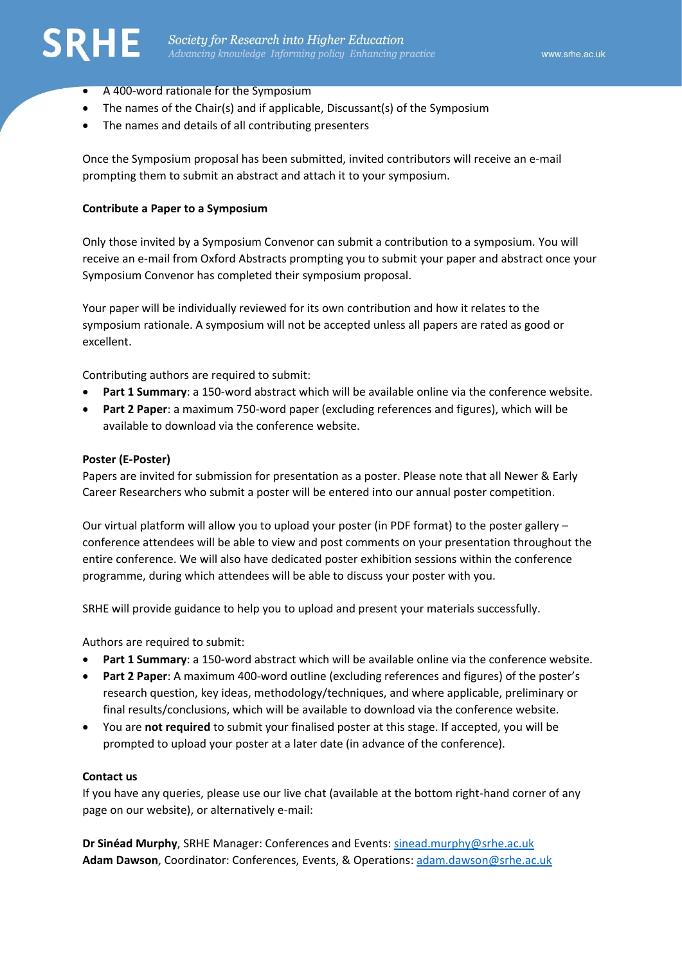

- A 400-word rationale for the Symposium
- The names of the Chair(s) and if applicable, Discussant(s) of the Symposium
- The names and details of all contributing presenters

Once the Symposium proposal has been submitted, invited contributors will receive an e-mail prompting them to submit an abstract and attach it to your symposium.

#### **Contribute a Paper to a Symposium**

Only those invited by a Symposium Convenor can submit a contribution to a symposium. You will receive an e-mail from Oxford Abstracts prompting you to submit your paper and abstract once your Symposium Convenor has completed their symposium proposal.

Your paper will be individually reviewed for its own contribution and how it relates to the symposium rationale. A symposium will not be accepted unless all papers are rated as good or excellent.

Contributing authors are required to submit:

- **Part 1 Summary**: a 150-word abstract which will be available online via the conference website.
- **Part 2 Paper**: a maximum 750-word paper (excluding references and figures), which will be available to download via the conference website.

#### **Poster (E-Poster)**

Papers are invited for submission for presentation as a poster. Please note that all Newer & Early Career Researchers who submit a poster will be entered into our annual poster competition.

Our virtual platform will allow you to upload your poster (in PDF format) to the poster gallery – conference attendees will be able to view and post comments on your presentation throughout the entire conference. We will also have dedicated poster exhibition sessions within the conference programme, during which attendees will be able to discuss your poster with you.

SRHE will provide guidance to help you to upload and present your materials successfully.

Authors are required to submit:

- **Part 1 Summary**: a 150-word abstract which will be available online via the conference website.
- **Part 2 Paper**: A maximum 400-word outline (excluding references and figures) of the poster's research question, key ideas, methodology/techniques, and where applicable, preliminary or final results/conclusions, which will be available to download via the conference website.
- You are **not required** to submit your finalised poster at this stage. If accepted, you will be prompted to upload your poster at a later date (in advance of the conference).

#### **Contact us**

If you have any queries, please use our live chat (available at the bottom right-hand corner of any page on our website), or alternatively e-mail:

**Dr Sinéad Murphy**, SRHE Manager: Conferences and Events: [sinead.murphy@srhe.ac.uk](mailto:sinead.murphy@srhe.ac.uk) **Adam Dawson**, Coordinator: Conferences, Events, & Operations: [adam.dawson@srhe.ac.uk](mailto:adam.dawson@srhe.ac.uk)